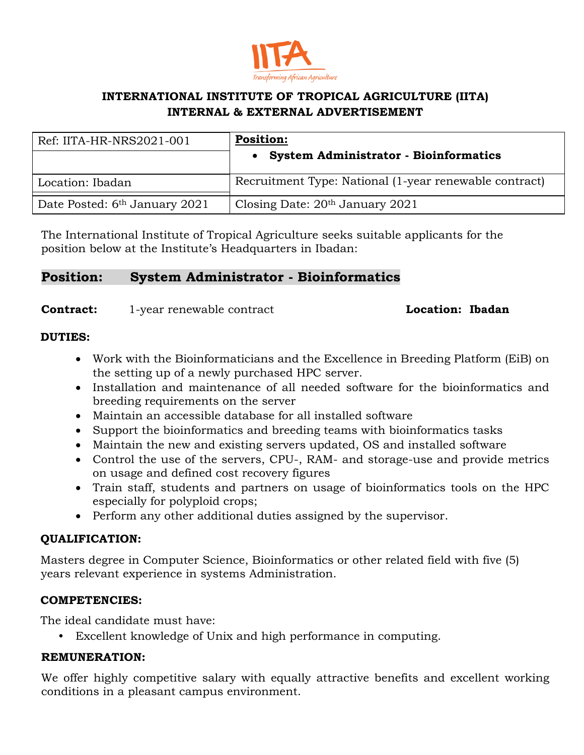

# **INTERNATIONAL INSTITUTE OF TROPICAL AGRICULTURE (IITA) INTERNAL & EXTERNAL ADVERTISEMENT**

| Ref: IITA-HR-NRS2021-001                  | <b>Position:</b><br><b>System Administrator - Bioinformatics</b> |
|-------------------------------------------|------------------------------------------------------------------|
| Location: Ibadan                          | Recruitment Type: National (1-year renewable contract)           |
| Date Posted: 6 <sup>th</sup> January 2021 | Closing Date: $20th$ January 2021                                |

The International Institute of Tropical Agriculture seeks suitable applicants for the position below at the Institute's Headquarters in Ibadan:

# **Position: System Administrator - Bioinformatics**

### **Contract:** 1-year renewable contract **Location: Ibadan**

### **DUTIES:**

- Work with the Bioinformaticians and the Excellence in Breeding Platform (EiB) on the setting up of a newly purchased HPC server.
- Installation and maintenance of all needed software for the bioinformatics and breeding requirements on the server
- Maintain an accessible database for all installed software
- Support the bioinformatics and breeding teams with bioinformatics tasks
- Maintain the new and existing servers updated, OS and installed software
- Control the use of the servers, CPU-, RAM- and storage-use and provide metrics on usage and defined cost recovery figures
- Train staff, students and partners on usage of bioinformatics tools on the HPC especially for polyploid crops;
- Perform any other additional duties assigned by the supervisor.

# **QUALIFICATION:**

Masters degree in Computer Science, Bioinformatics or other related field with five (5) years relevant experience in systems Administration.

# **COMPETENCIES:**

The ideal candidate must have:

• Excellent knowledge of Unix and high performance in computing.

# **REMUNERATION:**

We offer highly competitive salary with equally attractive benefits and excellent working conditions in a pleasant campus environment.